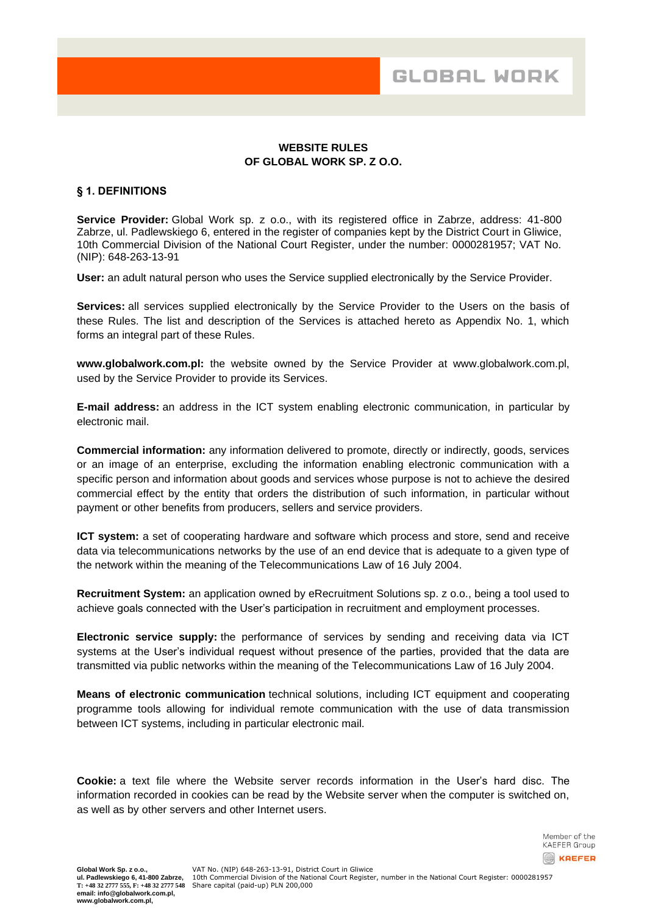## **WEBSITE RULES OF GLOBAL WORK SP. Z O.O.**

### **§ 1. DEFINITIONS**

**Service Provider:** Global Work sp. z o.o., with its registered office in Zabrze, address: 41-800 Zabrze, ul. Padlewskiego 6, entered in the register of companies kept by the District Court in Gliwice, 10th Commercial Division of the National Court Register, under the number: 0000281957; VAT No. (NIP): 648-263-13-91

**User:** an adult natural person who uses the Service supplied electronically by the Service Provider.

**Services:** all services supplied electronically by the Service Provider to the Users on the basis of these Rules. The list and description of the Services is attached hereto as Appendix No. 1, which forms an integral part of these Rules.

**www.globalwork.com.pl:** the website owned by the Service Provider at www.globalwork.com.pl, used by the Service Provider to provide its Services.

**E-mail address:** an address in the ICT system enabling electronic communication, in particular by electronic mail.

**Commercial information:** any information delivered to promote, directly or indirectly, goods, services or an image of an enterprise, excluding the information enabling electronic communication with a specific person and information about goods and services whose purpose is not to achieve the desired commercial effect by the entity that orders the distribution of such information, in particular without payment or other benefits from producers, sellers and service providers.

**ICT system:** a set of cooperating hardware and software which process and store, send and receive data via telecommunications networks by the use of an end device that is adequate to a given type of the network within the meaning of the Telecommunications Law of 16 July 2004.

**Recruitment System:** an application owned by eRecruitment Solutions sp. z o.o., being a tool used to achieve goals connected with the User's participation in recruitment and employment processes.

**Electronic service supply:** the performance of services by sending and receiving data via ICT systems at the User's individual request without presence of the parties, provided that the data are transmitted via public networks within the meaning of the Telecommunications Law of 16 July 2004.

**Means of electronic communication** technical solutions, including ICT equipment and cooperating programme tools allowing for individual remote communication with the use of data transmission between ICT systems, including in particular electronic mail.

**Cookie:** a text file where the Website server records information in the User's hard disc. The information recorded in cookies can be read by the Website server when the computer is switched on, as well as by other servers and other Internet users.

> Member of the **KAEFER Group REFER**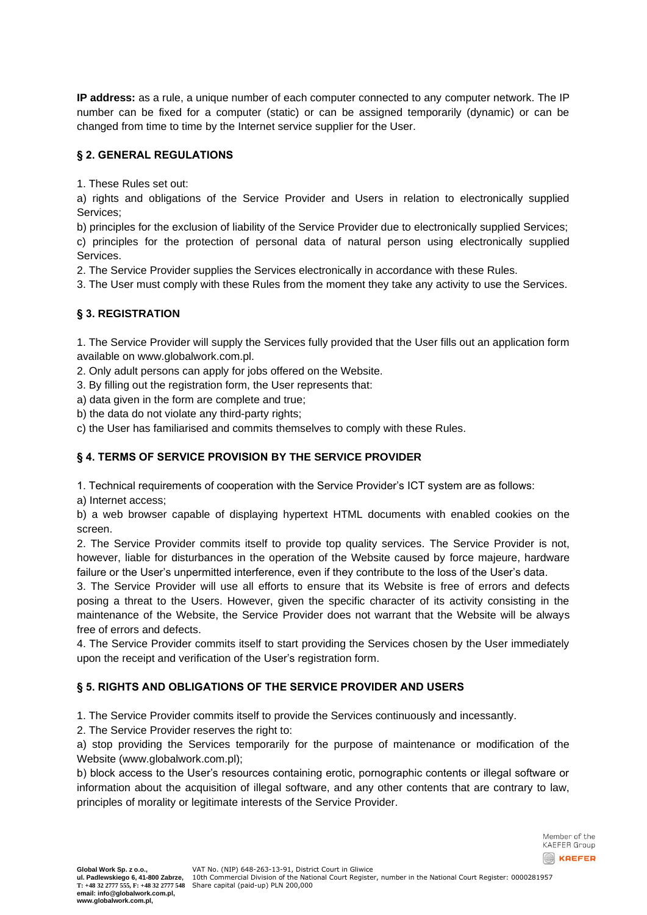**IP address:** as a rule, a unique number of each computer connected to any computer network. The IP number can be fixed for a computer (static) or can be assigned temporarily (dynamic) or can be changed from time to time by the Internet service supplier for the User.

# **§ 2. GENERAL REGULATIONS**

1. These Rules set out:

a) rights and obligations of the Service Provider and Users in relation to electronically supplied Services;

b) principles for the exclusion of liability of the Service Provider due to electronically supplied Services; c) principles for the protection of personal data of natural person using electronically supplied Services.

2. The Service Provider supplies the Services electronically in accordance with these Rules.

3. The User must comply with these Rules from the moment they take any activity to use the Services.

# **§ 3. REGISTRATION**

1. The Service Provider will supply the Services fully provided that the User fills out an application form available on www.globalwork.com.pl.

2. Only adult persons can apply for jobs offered on the Website.

3. By filling out the registration form, the User represents that:

a) data given in the form are complete and true;

b) the data do not violate any third-party rights;

c) the User has familiarised and commits themselves to comply with these Rules.

# **§ 4. TERMS OF SERVICE PROVISION BY THE SERVICE PROVIDER**

1. Technical requirements of cooperation with the Service Provider's ICT system are as follows:

a) Internet access;

b) a web browser capable of displaying hypertext HTML documents with enabled cookies on the screen.

2. The Service Provider commits itself to provide top quality services. The Service Provider is not, however, liable for disturbances in the operation of the Website caused by force majeure, hardware failure or the User's unpermitted interference, even if they contribute to the loss of the User's data.

3. The Service Provider will use all efforts to ensure that its Website is free of errors and defects posing a threat to the Users. However, given the specific character of its activity consisting in the maintenance of the Website, the Service Provider does not warrant that the Website will be always free of errors and defects.

4. The Service Provider commits itself to start providing the Services chosen by the User immediately upon the receipt and verification of the User's registration form.

# **§ 5. RIGHTS AND OBLIGATIONS OF THE SERVICE PROVIDER AND USERS**

1. The Service Provider commits itself to provide the Services continuously and incessantly.

2. The Service Provider reserves the right to:

a) stop providing the Services temporarily for the purpose of maintenance or modification of the Website (www.globalwork.com.pl);

b) block access to the User's resources containing erotic, pornographic contents or illegal software or information about the acquisition of illegal software, and any other contents that are contrary to law, principles of morality or legitimate interests of the Service Provider.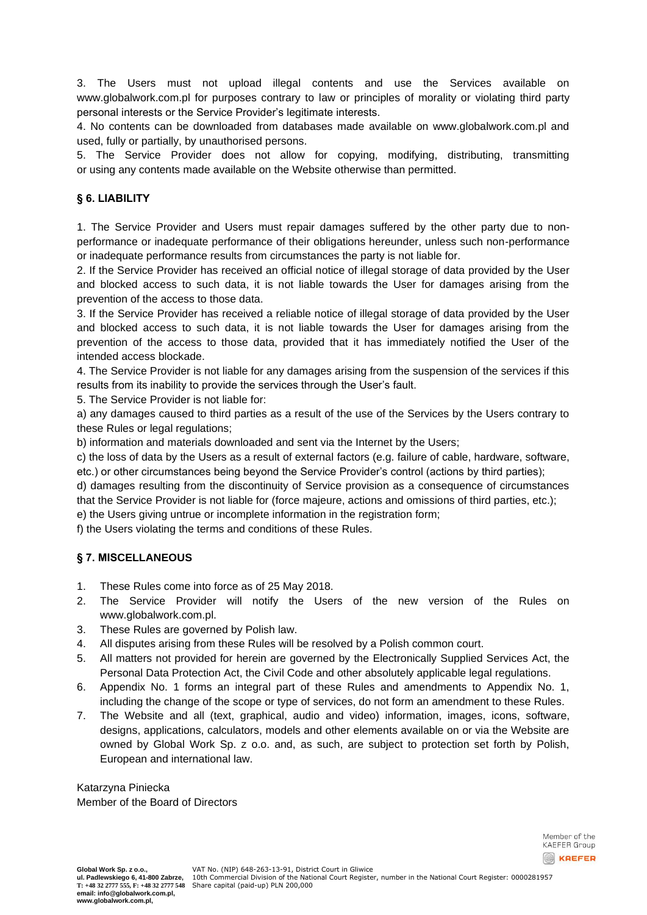3. The Users must not upload illegal contents and use the Services available on www.globalwork.com.pl for purposes contrary to law or principles of morality or violating third party personal interests or the Service Provider's legitimate interests.

4. No contents can be downloaded from databases made available on www.globalwork.com.pl and used, fully or partially, by unauthorised persons.

5. The Service Provider does not allow for copying, modifying, distributing, transmitting or using any contents made available on the Website otherwise than permitted.

## **§ 6. LIABILITY**

1. The Service Provider and Users must repair damages suffered by the other party due to nonperformance or inadequate performance of their obligations hereunder, unless such non-performance or inadequate performance results from circumstances the party is not liable for.

2. If the Service Provider has received an official notice of illegal storage of data provided by the User and blocked access to such data, it is not liable towards the User for damages arising from the prevention of the access to those data.

3. If the Service Provider has received a reliable notice of illegal storage of data provided by the User and blocked access to such data, it is not liable towards the User for damages arising from the prevention of the access to those data, provided that it has immediately notified the User of the intended access blockade.

4. The Service Provider is not liable for any damages arising from the suspension of the services if this results from its inability to provide the services through the User's fault.

5. The Service Provider is not liable for:

a) any damages caused to third parties as a result of the use of the Services by the Users contrary to these Rules or legal regulations;

b) information and materials downloaded and sent via the Internet by the Users;

c) the loss of data by the Users as a result of external factors (e.g. failure of cable, hardware, software, etc.) or other circumstances being beyond the Service Provider's control (actions by third parties);

d) damages resulting from the discontinuity of Service provision as a consequence of circumstances that the Service Provider is not liable for (force majeure, actions and omissions of third parties, etc.);

e) the Users giving untrue or incomplete information in the registration form;

f) the Users violating the terms and conditions of these Rules.

### **§ 7. MISCELLANEOUS**

- 1. These Rules come into force as of 25 May 2018.
- 2. The Service Provider will notify the Users of the new version of the Rules on [www.globalwork.com.pl.](http://www.globalwork.com.pl/)
- 3. These Rules are governed by Polish law.
- 4. All disputes arising from these Rules will be resolved by a Polish common court.
- 5. All matters not provided for herein are governed by the Electronically Supplied Services Act, the Personal Data Protection Act, the Civil Code and other absolutely applicable legal regulations.
- 6. Appendix No. 1 forms an integral part of these Rules and amendments to Appendix No. 1, including the change of the scope or type of services, do not form an amendment to these Rules.
- 7. The Website and all (text, graphical, audio and video) information, images, icons, software, designs, applications, calculators, models and other elements available on or via the Website are owned by Global Work Sp. z o.o. and, as such, are subject to protection set forth by Polish, European and international law.

Katarzyna Piniecka Member of the Board of Directors